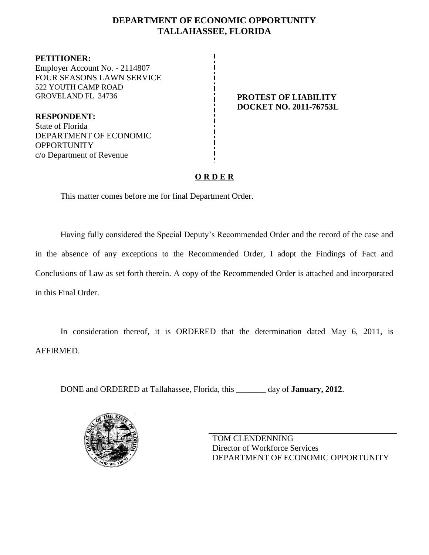# **DEPARTMENT OF ECONOMIC OPPORTUNITY TALLAHASSEE, FLORIDA**

**PETITIONER:** Employer Account No. - 2114807 FOUR SEASONS LAWN SERVICE 522 YOUTH CAMP ROAD GROVELAND FL 34736 **PROTEST OF LIABILITY**

**RESPONDENT:** State of Florida DEPARTMENT OF ECONOMIC **OPPORTUNITY** c/o Department of Revenue

# **DOCKET NO. 2011-76753L**

## **O R D E R**

This matter comes before me for final Department Order.

Having fully considered the Special Deputy's Recommended Order and the record of the case and in the absence of any exceptions to the Recommended Order, I adopt the Findings of Fact and Conclusions of Law as set forth therein. A copy of the Recommended Order is attached and incorporated in this Final Order.

In consideration thereof, it is ORDERED that the determination dated May 6, 2011, is AFFIRMED.

DONE and ORDERED at Tallahassee, Florida, this **\_\_\_\_\_\_\_** day of **January, 2012**.



TOM CLENDENNING Director of Workforce Services DEPARTMENT OF ECONOMIC OPPORTUNITY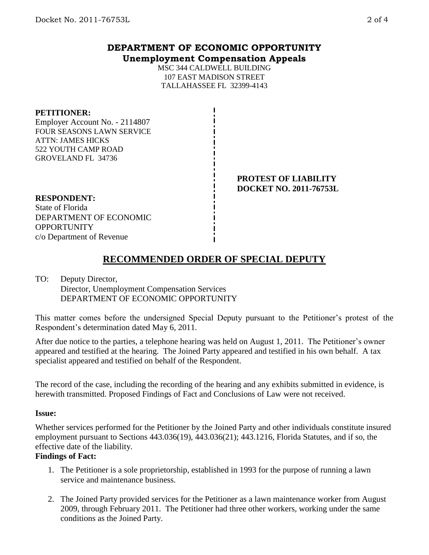## **DEPARTMENT OF ECONOMIC OPPORTUNITY Unemployment Compensation Appeals**

MSC 344 CALDWELL BUILDING 107 EAST MADISON STREET TALLAHASSEE FL 32399-4143

### **PETITIONER:**

Employer Account No. - 2114807 FOUR SEASONS LAWN SERVICE ATTN: JAMES HICKS 522 YOUTH CAMP ROAD GROVELAND FL 34736

> **PROTEST OF LIABILITY DOCKET NO. 2011-76753L**

#### **RESPONDENT:** State of Florida DEPARTMENT OF ECONOMIC **OPPORTUNITY**

c/o Department of Revenue

# **RECOMMENDED ORDER OF SPECIAL DEPUTY**

### TO: Deputy Director, Director, Unemployment Compensation Services DEPARTMENT OF ECONOMIC OPPORTUNITY

This matter comes before the undersigned Special Deputy pursuant to the Petitioner's protest of the Respondent's determination dated May 6, 2011.

After due notice to the parties, a telephone hearing was held on August 1, 2011. The Petitioner's owner appeared and testified at the hearing. The Joined Party appeared and testified in his own behalf. A tax specialist appeared and testified on behalf of the Respondent.

The record of the case, including the recording of the hearing and any exhibits submitted in evidence, is herewith transmitted. Proposed Findings of Fact and Conclusions of Law were not received.

### **Issue:**

Whether services performed for the Petitioner by the Joined Party and other individuals constitute insured employment pursuant to Sections 443.036(19), 443.036(21); 443.1216, Florida Statutes, and if so, the effective date of the liability.

### **Findings of Fact:**

- 1. The Petitioner is a sole proprietorship, established in 1993 for the purpose of running a lawn service and maintenance business.
- 2. The Joined Party provided services for the Petitioner as a lawn maintenance worker from August 2009, through February 2011. The Petitioner had three other workers, working under the same conditions as the Joined Party.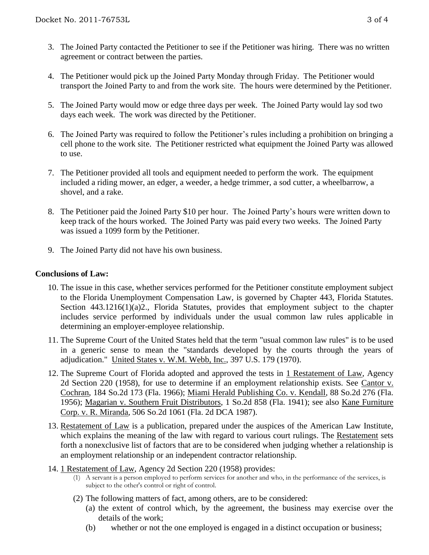- 3. The Joined Party contacted the Petitioner to see if the Petitioner was hiring. There was no written agreement or contract between the parties.
- 4. The Petitioner would pick up the Joined Party Monday through Friday. The Petitioner would transport the Joined Party to and from the work site. The hours were determined by the Petitioner.
- 5. The Joined Party would mow or edge three days per week. The Joined Party would lay sod two days each week. The work was directed by the Petitioner.
- 6. The Joined Party was required to follow the Petitioner's rules including a prohibition on bringing a cell phone to the work site. The Petitioner restricted what equipment the Joined Party was allowed to use.
- 7. The Petitioner provided all tools and equipment needed to perform the work. The equipment included a riding mower, an edger, a weeder, a hedge trimmer, a sod cutter, a wheelbarrow, a shovel, and a rake.
- 8. The Petitioner paid the Joined Party \$10 per hour. The Joined Party's hours were written down to keep track of the hours worked. The Joined Party was paid every two weeks. The Joined Party was issued a 1099 form by the Petitioner.
- 9. The Joined Party did not have his own business.

### **Conclusions of Law:**

- 10. The issue in this case, whether services performed for the Petitioner constitute employment subject to the Florida Unemployment Compensation Law, is governed by Chapter 443, Florida Statutes. Section 443.1216(1)(a)2., Florida Statutes, provides that employment subject to the chapter includes service performed by individuals under the usual common law rules applicable in determining an employer-employee relationship.
- 11. The Supreme Court of the United States held that the term "usual common law rules" is to be used in a generic sense to mean the "standards developed by the courts through the years of adjudication." United States v. W.M. Webb, Inc., 397 U.S. 179 (1970).
- 12. The Supreme Court of Florida adopted and approved the tests in 1 Restatement of Law, Agency 2d Section 220 (1958), for use to determine if an employment relationship exists. See Cantor v. Cochran, 184 So.2d 173 (Fla. 1966); Miami Herald Publishing Co. v. Kendall, 88 So.2d 276 (Fla. 1956); Magarian v. Southern Fruit Distributors, 1 So.2d 858 (Fla. 1941); see also Kane Furniture Corp. v. R. Miranda, 506 So.2d 1061 (Fla. 2d DCA 1987).
- 13. Restatement of Law is a publication, prepared under the auspices of the American Law Institute, which explains the meaning of the law with regard to various court rulings. The Restatement sets forth a nonexclusive list of factors that are to be considered when judging whether a relationship is an employment relationship or an independent contractor relationship.
- 14. 1 Restatement of Law, Agency 2d Section 220 (1958) provides:
	- (1) A servant is a person employed to perform services for another and who, in the performance of the services, is subject to the other's control or right of control.
	- (2) The following matters of fact, among others, are to be considered:
		- (a) the extent of control which, by the agreement, the business may exercise over the details of the work;
		- (b) whether or not the one employed is engaged in a distinct occupation or business;